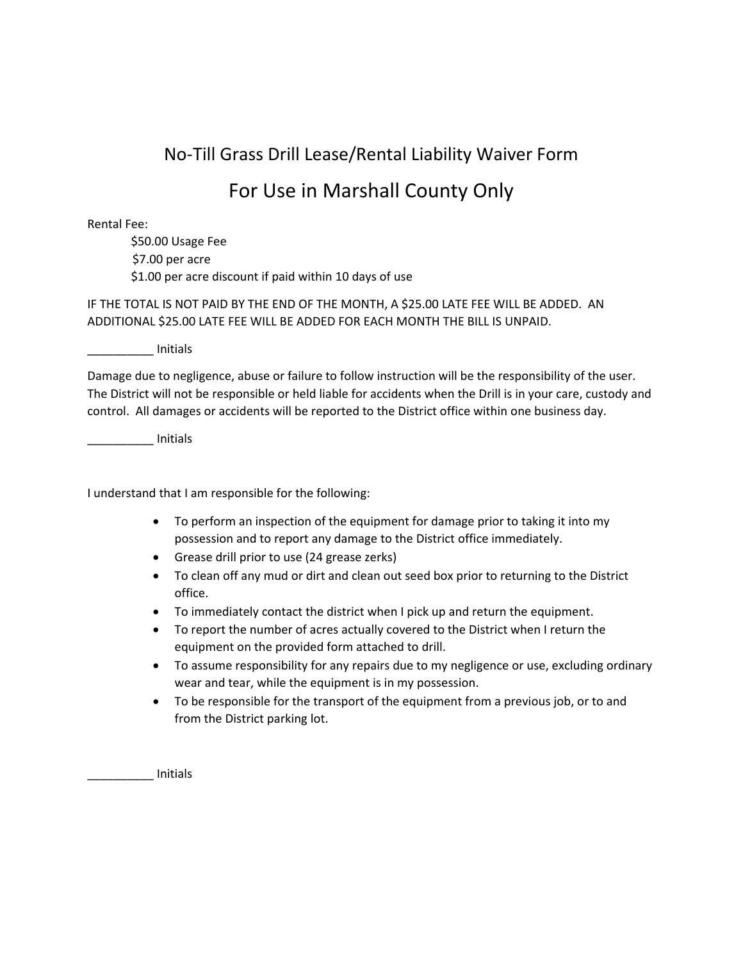## No‐Till Grass Drill Lease/Rental Liability Waiver Form

## For Use in Marshall County Only

Rental Fee:

\$50.00 Usage Fee \$7.00 per acre \$1.00 per acre discount if paid within 10 days of use

IF THE TOTAL IS NOT PAID BY THE END OF THE MONTH, A \$25.00 LATE FEE WILL BE ADDED. AN ADDITIONAL \$25.00 LATE FEE WILL BE ADDED FOR EACH MONTH THE BILL IS UNPAID.

\_\_\_\_\_\_\_\_\_\_ Initials

Damage due to negligence, abuse or failure to follow instruction will be the responsibility of the user. The District will not be responsible or held liable for accidents when the Drill is in your care, custody and control. All damages or accidents will be reported to the District office within one business day.

\_\_\_\_\_\_\_\_\_\_ Initials

I understand that I am responsible for the following:

- To perform an inspection of the equipment for damage prior to taking it into my possession and to report any damage to the District office immediately.
- Grease drill prior to use (24 grease zerks)
- To clean off any mud or dirt and clean out seed box prior to returning to the District office.
- To immediately contact the district when I pick up and return the equipment.
- To report the number of acres actually covered to the District when I return the equipment on the provided form attached to drill.
- To assume responsibility for any repairs due to my negligence or use, excluding ordinary wear and tear, while the equipment is in my possession.
- To be responsible for the transport of the equipment from a previous job, or to and from the District parking lot.

\_\_\_\_\_\_\_\_\_\_ Initials